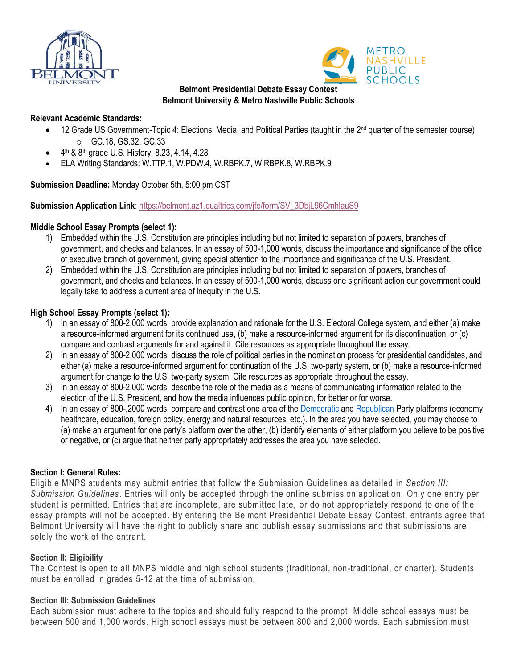



#### **Belmont Presidential Debate Essay Contest Belmont University & Metro Nashville Public Schools**

#### **Relevant Academic Standards:**

- 12 Grade US Government-Topic 4: Elections, Media, and Political Parties (taught in the 2<sup>nd</sup> quarter of the semester course) o GC.18, GS.32, GC.33
- $\bullet$  4<sup>th</sup> & 8<sup>th</sup> grade U.S. History: 8.23, 4.14, 4.28
- ELA Writing Standards: W.TTP.1, W.PDW.4, W.RBPK.7, W.RBPK.8, W.RBPK.9

## **Submission Deadline:** Monday October 5th, 5:00 pm CST

#### **Submission Application Link**: [https://belmont.az1.qualtrics.com/jfe/form/SV\\_3DbjL96CmhlauS9](https://belmont.az1.qualtrics.com/jfe/form/SV_3DbjL96CmhlauS9)

## **Middle School Essay Prompts (select 1):**

- 1) Embedded within the U.S. Constitution are principles including but not limited to separation of powers, branches of government, and checks and balances. In an essay of 500-1,000 words, discuss the importance and significance of the office of executive branch of government, giving special attention to the importance and significance of the U.S. President.
- 2) Embedded within the U.S. Constitution are principles including but not limited to separation of powers, branches of government, and checks and balances. In an essay of 500-1,000 words, discuss one significant action our government could legally take to address a current area of inequity in the U.S.

## **High School Essay Prompts (select 1):**

- 1) In an essay of 800-2,000 words, provide explanation and rationale for the U.S. Electoral College system, and either (a) make a resource-informed argument for its continued use, (b) make a resource-informed argument for its discontinuation, or (c) compare and contrast arguments for and against it. Cite resources as appropriate throughout the essay.
- 2) In an essay of 800-2,000 words, discuss the role of political parties in the nomination process for presidential candidates, and either (a) make a resource-informed argument for continuation of the U.S. two-party system, or (b) make a resource-informed argument for change to the U.S. two-party system. Cite resources as appropriate throughout the essay.
- 3) In an essay of 800-2,000 words, describe the role of the media as a means of communicating information related to the election of the U.S. President, and how the media influences public opinion, for better or for worse.
- 4) In an essay of 800-,2000 words, compare and contrast one area of the [Democratic](https://democrats.org/wp-content/uploads/sites/2/2019/07/2016_DNC_Platform.pdf) an[d Republican](https://prod-cdn-static.gop.com/static/home/data/platform.pdf?_ga=2.60768429.1480238939.1596665109-208304960.1596665109) Party platforms (economy, healthcare, education, foreign policy, energy and natural resources, etc.). In the area you have selected, you may choose to (a) make an argument for one party's platform over the other, (b) identify elements of either platform you believe to be positive or negative, or (c) argue that neither party appropriately addresses the area you have selected.

#### **Section I: General Rules:**

Eligible MNPS students may submit entries that follow the Submission Guidelines as detailed in *Section III: Submission Guidelines*. Entries will only be accepted through the online submission application. Only one entry per student is permitted. Entries that are incomplete, are submitted late, or do not appropriately respond to one of the essay prompts will not be accepted. By entering the Belmont Presidential Debate Essay Contest, entrants agree that Belmont University will have the right to publicly share and publish essay submissions and that submissions are solely the work of the entrant.

#### **Section II: Eligibility**

The Contest is open to all MNPS middle and high school students (traditional, non-traditional, or charter). Students must be enrolled in grades 5-12 at the time of submission.

#### **Section III: Submission Guidelines**

Each submission must adhere to the topics and should fully respond to the prompt. Middle school essays must be between 500 and 1,000 words. High school essays must be between 800 and 2,000 words. Each submission must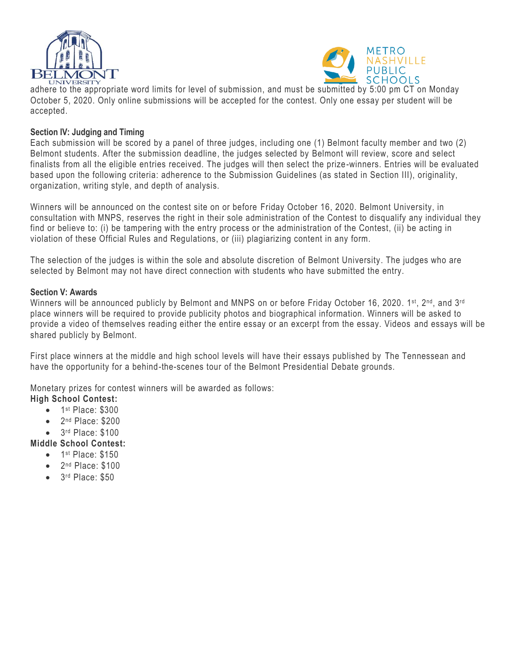



adhere to the appropriate word limits for level of submission, and must be submitted by 5:00 pm CT on Monday October 5, 2020. Only online submissions will be accepted for the contest. Only one essay per student will be accepted.

#### **Section IV: Judging and Timing**

Each submission will be scored by a panel of three judges, including one (1) Belmont faculty member and two (2) Belmont students. After the submission deadline, the judges selected by Belmont will review, score and select finalists from all the eligible entries received. The judges will then select the prize-winners. Entries will be evaluated based upon the following criteria: adherence to the Submission Guidelines (as stated in Section III), originality, organization, writing style, and depth of analysis.

Winners will be announced on the contest site on or before Friday October 16, 2020. Belmont University, in consultation with MNPS, reserves the right in their sole administration of the Contest to disqualify any individual they find or believe to: (i) be tampering with the entry process or the administration of the Contest, (ii) be acting in violation of these Official Rules and Regulations, or (iii) plagiarizing content in any form.

The selection of the judges is within the sole and absolute discretion of Belmont University. The judges who are selected by Belmont may not have direct connection with students who have submitted the entry.

#### **Section V: Awards**

Winners will be announced publicly by Belmont and MNPS on or before Friday October 16, 2020. 1st, 2nd, and 3rd place winners will be required to provide publicity photos and biographical information. Winners will be asked to provide a video of themselves reading either the entire essay or an excerpt from the essay. Videos and essays will be shared publicly by Belmont.

First place winners at the middle and high school levels will have their essays published by The Tennessean and have the opportunity for a behind-the-scenes tour of the Belmont Presidential Debate grounds.

Monetary prizes for contest winners will be awarded as follows:

# **High School Contest:**

- 1<sup>st</sup> Place: \$300
- 2<sup>nd</sup> Place: \$200
- 3<sup>rd</sup> Place: \$100
- **Middle School Contest:**
	- 1<sup>st</sup> Place: \$150
	- 2<sup>nd</sup> Place: \$100
	- 3<sup>rd</sup> Place: \$50